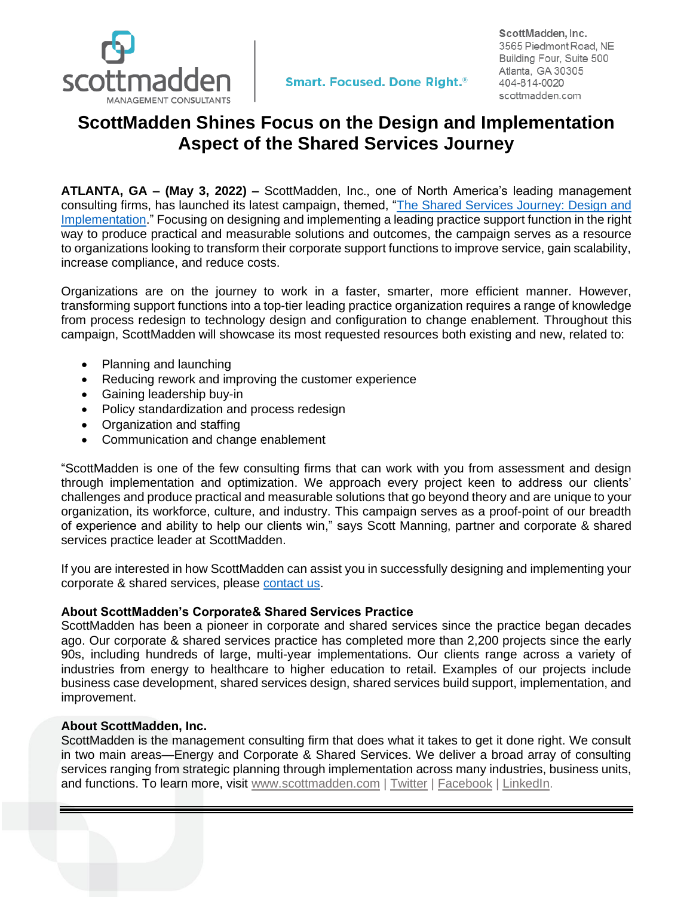

ScottMadden, Inc. 3565 Piedmont Road, NE Building Four, Suite 500 Atlanta, GA 30305 404-814-0020 scottmadden.com

## **ScottMadden Shines Focus on the Design and Implementation Aspect of the Shared Services Journey**

**ATLANTA, GA – (May 3, 2022) –** ScottMadden, Inc., one of North America's leading management consulting firms, has launched its latest campaign, themed, ["The Shared Services Journey: Design and](https://www.scottmadden.com/insight/the-shared-services-journey-design-and-implementation/)  [Implementation.](https://www.scottmadden.com/insight/the-shared-services-journey-design-and-implementation/)" Focusing on designing and implementing a leading practice support function in the right way to produce practical and measurable solutions and outcomes, the campaign serves as a resource to organizations looking to transform their corporate support functions to improve service, gain scalability, increase compliance, and reduce costs.

Organizations are on the journey to work in a faster, smarter, more efficient manner. However, transforming support functions into a top-tier leading practice organization requires a range of knowledge from process redesign to technology design and configuration to change enablement. Throughout this campaign, ScottMadden will showcase its most requested resources both existing and new, related to:

- Planning and launching
- Reducing rework and improving the customer experience
- Gaining leadership buy-in
- Policy standardization and process redesign
- Organization and staffing
- Communication and change enablement

"ScottMadden is one of the few consulting firms that can work with you from assessment and design through implementation and optimization. We approach every project keen to address our clients' challenges and produce practical and measurable solutions that go beyond theory and are unique to your organization, its workforce, culture, and industry. This campaign serves as a proof-point of our breadth of experience and ability to help our clients win," says Scott Manning, partner and corporate & shared services practice leader at ScottMadden.

If you are interested in how ScottMadden can assist you in successfully designing and implementing your corporate & shared services, please [contact us.](https://www.scottmadden.com/contact-us/)

## **About ScottMadden's Corporate& Shared Services Practice**

ScottMadden has been a pioneer in corporate and shared services since the practice began decades ago. Our corporate & shared services practice has completed more than 2,200 projects since the early 90s, including hundreds of large, multi-year implementations. Our clients range across a variety of industries from energy to healthcare to higher education to retail. Examples of our projects include business case development, shared services design, shared services build support, implementation, and improvement.

## **About ScottMadden, Inc.**

ScottMadden is the management consulting firm that does what it takes to get it done right. We consult in two main areas—Energy and Corporate & Shared Services. We deliver a broad array of consulting services ranging from strategic planning through implementation across many industries, business units, and functions. To learn more, visit [www.scottmadden.com](http://www.scottmadden.com/) | [Twitter](https://twitter.com/sm_energy?lang=en) | [Facebook](http://www.facebook.com/#!/ScottMaddenInc) | [LinkedIn.](http://www.linkedin.com/company/37992)